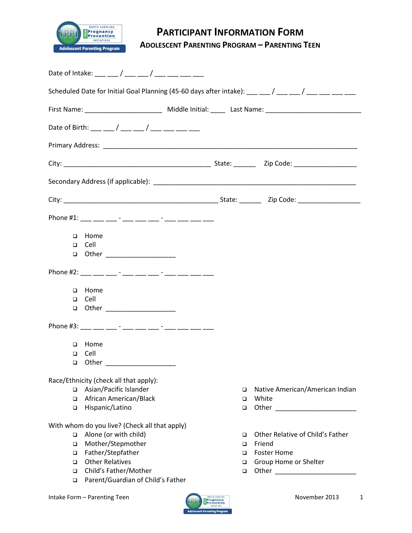

# **PARTICIPANT INFORMATION FORM**

**ADOLESCENT PARENTING PROGRAM – PARENTING TEEN**

| Date of Intake: ___ __ / ___ __ / ___ __ / ___ ___ __                                                          |                                                                                                                                                                                                                                                                                               |  |  |  |  |
|----------------------------------------------------------------------------------------------------------------|-----------------------------------------------------------------------------------------------------------------------------------------------------------------------------------------------------------------------------------------------------------------------------------------------|--|--|--|--|
|                                                                                                                | Scheduled Date for Initial Goal Planning (45-60 days after intake): $\frac{1}{1}$ $\frac{1}{1}$ $\frac{1}{1}$ $\frac{1}{1}$ $\frac{1}{1}$ $\frac{1}{1}$ $\frac{1}{1}$ $\frac{1}{1}$ $\frac{1}{1}$ $\frac{1}{1}$ $\frac{1}{1}$ $\frac{1}{1}$ $\frac{1}{1}$ $\frac{1}{1}$ $\frac{1}{1}$ $\frac$ |  |  |  |  |
| First Name: _________________________________ Middle Initial: ________ Last Name: ____________________________ |                                                                                                                                                                                                                                                                                               |  |  |  |  |
|                                                                                                                |                                                                                                                                                                                                                                                                                               |  |  |  |  |
|                                                                                                                |                                                                                                                                                                                                                                                                                               |  |  |  |  |
|                                                                                                                |                                                                                                                                                                                                                                                                                               |  |  |  |  |
|                                                                                                                |                                                                                                                                                                                                                                                                                               |  |  |  |  |
|                                                                                                                |                                                                                                                                                                                                                                                                                               |  |  |  |  |
| Phone #1: ___ __ __ -_ - ___ ___ -__ -__ -__ ___ ___ ___ ___                                                   |                                                                                                                                                                                                                                                                                               |  |  |  |  |
| Home<br>$\Box$                                                                                                 |                                                                                                                                                                                                                                                                                               |  |  |  |  |
| $\Box$ Cell                                                                                                    |                                                                                                                                                                                                                                                                                               |  |  |  |  |
| $\Box$ Other                                                                                                   |                                                                                                                                                                                                                                                                                               |  |  |  |  |
| Phone #2: __ __ __ -_ -_ __ __ __ -__ -__ -__ ___ ___ ___ ___ ___                                              |                                                                                                                                                                                                                                                                                               |  |  |  |  |
| □ Home                                                                                                         |                                                                                                                                                                                                                                                                                               |  |  |  |  |
| $\Box$ Cell                                                                                                    |                                                                                                                                                                                                                                                                                               |  |  |  |  |
| □ Other ____________________                                                                                   |                                                                                                                                                                                                                                                                                               |  |  |  |  |
| Phone #3: ___ ___ ___ - ___ __ __ __ - ___ __ ___ ___ ___ ___ ___                                              |                                                                                                                                                                                                                                                                                               |  |  |  |  |
| Home<br>$\Box$                                                                                                 |                                                                                                                                                                                                                                                                                               |  |  |  |  |
| Cell<br>$\Box$                                                                                                 |                                                                                                                                                                                                                                                                                               |  |  |  |  |
| $\Box$ Other                                                                                                   |                                                                                                                                                                                                                                                                                               |  |  |  |  |
| Race/Ethnicity (check all that apply):                                                                         |                                                                                                                                                                                                                                                                                               |  |  |  |  |
| Asian/Pacific Islander<br>$\Box$                                                                               | Native American/American Indian<br>□                                                                                                                                                                                                                                                          |  |  |  |  |
| African American/Black<br>$\Box$                                                                               | White<br>□                                                                                                                                                                                                                                                                                    |  |  |  |  |
| Hispanic/Latino<br>$\Box$                                                                                      | $\Box$                                                                                                                                                                                                                                                                                        |  |  |  |  |
| With whom do you live? (Check all that apply)                                                                  |                                                                                                                                                                                                                                                                                               |  |  |  |  |
| Alone (or with child)<br>$\Box$                                                                                | Other Relative of Child's Father<br>□                                                                                                                                                                                                                                                         |  |  |  |  |
| Mother/Stepmother<br>$\Box$                                                                                    | Friend<br>$\Box$                                                                                                                                                                                                                                                                              |  |  |  |  |
| Father/Stepfather<br>$\Box$                                                                                    | <b>Foster Home</b><br>$\Box$                                                                                                                                                                                                                                                                  |  |  |  |  |
| <b>Other Relatives</b><br>$\Box$                                                                               | Group Home or Shelter                                                                                                                                                                                                                                                                         |  |  |  |  |
| Child's Father/Mother<br>$\Box$                                                                                | $\Box$                                                                                                                                                                                                                                                                                        |  |  |  |  |
| Parent/Guardian of Child's Father<br>$\Box$                                                                    |                                                                                                                                                                                                                                                                                               |  |  |  |  |

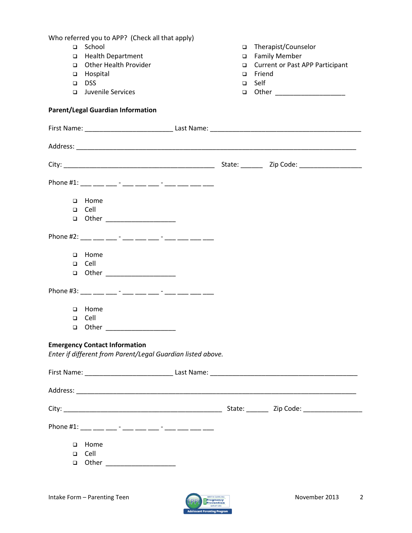Who referred you to APP? (Check all that apply) □ School Health Department Other Health Provider **D** Hospital DSS<sub>D</sub> **Juvenile Services**  Therapist/Counselor □ Family Member □ Current or Past APP Participant **D** Friend Self **a** Other \_\_\_\_\_\_\_\_\_\_\_\_\_\_\_\_\_\_\_\_\_ **Parent/Legal Guardian Information** First Name: \_\_\_\_\_\_\_\_\_\_\_\_\_\_\_\_\_\_\_\_\_\_\_\_ Last Name: \_\_\_\_\_\_\_\_\_\_\_\_\_\_\_\_\_\_\_\_\_\_\_\_\_\_\_\_\_\_\_\_\_\_\_\_\_\_\_\_\_ Address: \_\_\_\_\_\_\_\_\_\_\_\_\_\_\_\_\_\_\_\_\_\_\_\_\_\_\_\_\_\_\_\_\_\_\_\_\_\_\_\_\_\_\_\_\_\_\_\_\_\_\_\_\_\_\_\_\_\_\_\_\_\_\_\_\_\_\_\_\_\_\_\_\_\_\_\_ City: \_\_\_\_\_\_\_\_\_\_\_\_\_\_\_\_\_\_\_\_\_\_\_\_\_\_\_\_\_\_\_\_\_\_\_\_\_\_\_\_\_ State: \_\_\_\_\_\_ Zip Code: \_\_\_\_\_\_\_\_\_\_\_\_\_\_\_\_\_ Phone #1: \_\_\_ \_\_\_ \_\_\_ - \_\_\_ \_\_\_ -\_\_ - \_\_\_ -\_\_ \_\_\_ \_\_\_ \_\_\_ □ Home Cell  $\Box$  Other  $\Box$ Phone #2: \_\_\_\_ \_\_\_ \_\_\_ - \_\_\_ \_\_\_ \_\_ - \_\_\_ -\_\_ \_\_\_ \_\_\_ \_\_\_ D Home Cell **a** Other \_\_\_\_\_\_\_\_\_\_\_\_\_\_\_\_\_\_\_\_\_\_ Phone #3: \_\_\_ \_\_\_ \_\_\_ - \_\_\_ \_\_\_ \_\_\_ - \_\_\_ -\_\_ \_\_\_ \_\_\_ \_\_\_ \_\_\_ **D** Home Cell **a** Other \_\_\_\_\_\_\_\_\_\_\_\_\_\_\_\_\_\_\_\_ **Emergency Contact Information** *Enter if different from Parent/Legal Guardian listed above.* First Name: \_\_\_\_\_\_\_\_\_\_\_\_\_\_\_\_\_\_\_\_\_\_\_\_ Last Name: \_\_\_\_\_\_\_\_\_\_\_\_\_\_\_\_\_\_\_\_\_\_\_\_\_\_\_\_\_\_\_\_\_\_\_\_\_\_\_\_ Address: \_\_\_\_\_\_\_\_\_\_\_\_\_\_\_\_\_\_\_\_\_\_\_\_\_\_\_\_\_\_\_\_\_\_\_\_\_\_\_\_\_\_\_\_\_\_\_\_\_\_\_\_\_\_\_\_\_\_\_\_\_\_\_\_\_\_\_\_\_\_\_\_\_\_\_\_ City: \_\_\_\_\_\_\_\_\_\_\_\_\_\_\_\_\_\_\_\_\_\_\_\_\_\_\_\_\_\_\_\_\_\_\_\_\_\_\_\_\_\_\_ State: \_\_\_\_\_\_ Zip Code: \_\_\_\_\_\_\_\_\_\_\_\_\_\_\_\_ Phone #1: \_\_\_ \_\_\_ \_\_\_ - \_\_\_ \_\_\_ \_\_ - \_\_\_ -\_\_ \_\_\_ \_\_\_ \_\_\_ \_\_\_ D Home Cell **a** Other \_\_\_\_\_\_\_\_\_\_\_\_\_\_\_\_\_\_\_\_

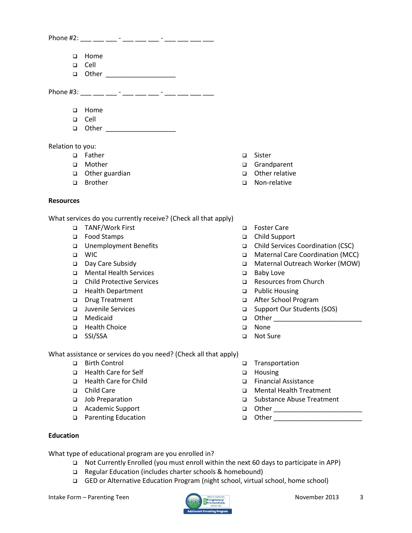Phone #2: \_\_\_ \_\_\_ \_\_\_ - \_\_\_ \_\_\_ -\_\_ -\_\_ -\_\_ \_\_\_ \_\_\_ \_\_

- □ Home
- Cell
- $\Box$  Other  $\Box$

Phone #3: \_\_\_ \_\_\_ \_\_\_ - \_\_\_ \_\_\_ \_\_ - \_\_\_ -\_\_ \_\_\_ \_\_\_ \_\_\_

- **D** Home
- Cell
- **Q** Other \_\_\_\_\_\_\_\_\_\_\_\_\_\_\_\_\_\_\_\_\_

Relation to you:

- □ Father
- **D** Mother
- $\Box$  Other guardian
- **D** Brother

#### **Resources**

What services do you currently receive? (Check all that apply)

- TANF/Work First
- □ Food Stamps
- Unemployment Benefits
- WIC
- Day Care Subsidy
- Mental Health Services
- Child Protective Services
- □ Health Department
- Drug Treatment
- Juvenile Services
- Medicaid
- □ Health Choice
- SSI/SSA
- □ Sister
- Grandparent
- □ Other relative
- □ Non-relative
- Foster Care
- Child Support
- Child Services Coordination (CSC)
- Maternal Care Coordination (MCC)
- □ Maternal Outreach Worker (MOW)
- □ Baby Love
- Resources from Church
- □ Public Housing
- After School Program
- □ Support Our Students (SOS)
- Other \_\_\_\_\_\_\_\_\_\_\_\_\_\_\_\_\_\_\_\_\_\_\_\_
- □ None
- Not Sure

□ Housing

Transportation

 Financial Assistance Mental Health Treatment □ Substance Abuse Treatment

 Other \_\_\_\_\_\_\_\_\_\_\_\_\_\_\_\_\_\_\_\_\_\_\_\_ Other \_\_\_\_\_\_\_\_\_\_\_\_\_\_\_\_\_\_\_\_\_\_\_\_

What assistance or services do you need? (Check all that apply)

- □ Birth Control
- □ Health Care for Self
- □ Health Care for Child
- □ Child Care
- Job Preparation
- Academic Support
- □ Parenting Education

#### **Education**

What type of educational program are you enrolled in?

- Not Currently Enrolled (you must enroll within the next 60 days to participate in APP)
- Regular Education (includes charter schools & homebound)
- GED or Alternative Education Program (night school, virtual school, home school)

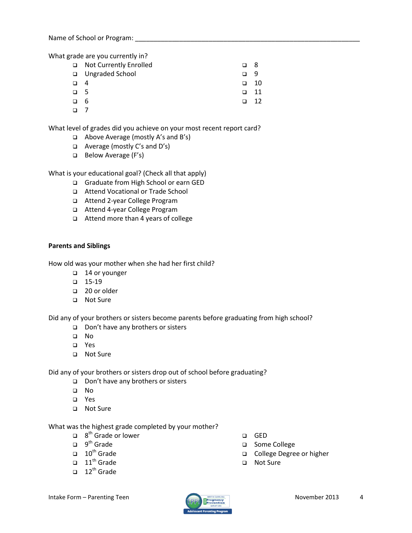Name of School or Program:  $\Box$ 

What grade are you currently in?

- □ Not Currently Enrolled Ungraded School  $\Box$  4  $\Box$  5 6 8 9  $\Box$  10  $\Box$  11  $\Box$  12
- $\Box$  7

What level of grades did you achieve on your most recent report card?

- Above Average (mostly A's and B's)
- Average (mostly C's and D's)
- Below Average (F's)

What is your educational goal? (Check all that apply)

- Graduate from High School or earn GED
- Attend Vocational or Trade School
- Attend 2-year College Program
- Attend 4-year College Program
- Attend more than 4 years of college

#### **Parents and Siblings**

How old was your mother when she had her first child?

- □ 14 or younger
- $\Box$  15-19
- □ 20 or older
- □ Not Sure

Did any of your brothers or sisters become parents before graduating from high school?

- □ Don't have any brothers or sisters
- No
- Yes
- □ Not Sure

Did any of your brothers or sisters drop out of school before graduating?

- □ Don't have any brothers or sisters
- No
- Yes
- □ Not Sure

#### What was the highest grade completed by your mother?

- $\Box$  8<sup>th</sup> Grade or lower
- $\Box$  9<sup>th</sup> Grade
- $\Box$  10<sup>th</sup> Grade
- $\Box$  11<sup>th</sup> Grade
- $\Box$  12<sup>th</sup> Grade
- GED
- □ Some College
- College Degree or higher
- Not Sure

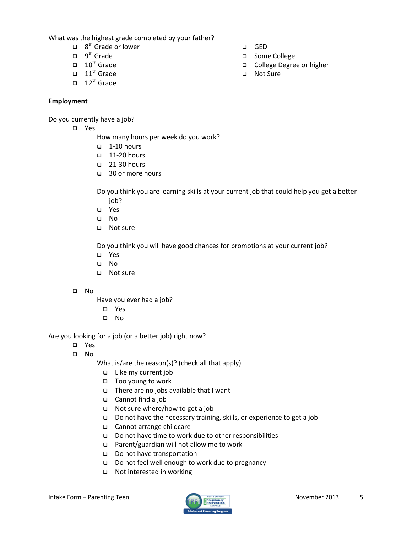What was the highest grade completed by your father?

- $\Box$  8<sup>th</sup> Grade or lower
- $\Box$  9<sup>th</sup> Grade
- $\Box$  10<sup>th</sup> Grade
- $\Box$  11<sup>th</sup> Grade
- $\Box$  12<sup>th</sup> Grade

### **Employment**

Do you currently have a job?

Yes

How many hours per week do you work?

- $\Box$  1-10 hours
- $\Box$  11-20 hours
- $\Box$  21-30 hours
- □ 30 or more hours

Do you think you are learning skills at your current job that could help you get a better job?

- Yes
- No
- □ Not sure

Do you think you will have good chances for promotions at your current job?

- Yes
- No
- □ Not sure
- No

Have you ever had a job?

- Yes
- No

Are you looking for a job (or a better job) right now?

- Yes
- $\Box$  No

What is/are the reason(s)? (check all that apply)

- Like my current job
- Too young to work
- $\Box$  There are no jobs available that I want
- Cannot find a job
- $\Box$  Not sure where/how to get a job
- □ Do not have the necessary training, skills, or experience to get a job
- □ Cannot arrange childcare
- □ Do not have time to work due to other responsibilities
- □ Parent/guardian will not allow me to work
- Do not have transportation
- Do not feel well enough to work due to pregnancy
- Not interested in working



- GED
- □ Some College
- College Degree or higher
- □ Not Sure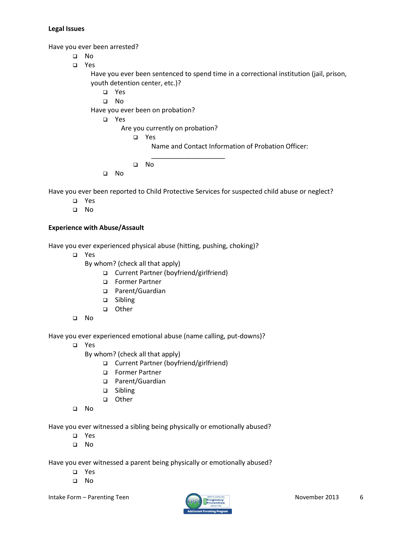#### **Legal Issues**

Have you ever been arrested?

- No
- Yes

Have you ever been sentenced to spend time in a correctional institution (jail, prison, youth detention center, etc.)?

Yes

No

Have you ever been on probation?

Yes

Are you currently on probation?

```
 Yes
```
Name and Contact Information of Probation Officer:

No

No

Have you ever been reported to Child Protective Services for suspected child abuse or neglect?

\_\_\_\_\_\_\_\_\_\_\_\_\_\_\_\_\_\_\_\_

- Yes
- No

## **Experience with Abuse/Assault**

Have you ever experienced physical abuse (hitting, pushing, choking)?

- Yes
	- By whom? (check all that apply)
		- Current Partner (boyfriend/girlfriend)
		- Former Partner
		- □ Parent/Guardian
		- □ Sibling
		- other
- No

Have you ever experienced emotional abuse (name calling, put-downs)?

Yes

By whom? (check all that apply)

- Current Partner (boyfriend/girlfriend)
- Former Partner
- □ Parent/Guardian
- □ Sibling
- other
- No

Have you ever witnessed a sibling being physically or emotionally abused?

- Yes
- No

Have you ever witnessed a parent being physically or emotionally abused?

- Yes
- No

Intake Form – Parenting Teen November 2013 6

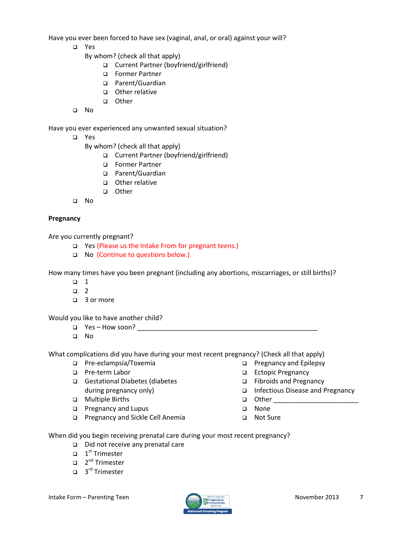Have you ever been forced to have sex (vaginal, anal, or oral) against your will?

- Yes
	- By whom? (check all that apply)
		- □ Current Partner (boyfriend/girlfriend)
		- Former Partner
		- □ Parent/Guardian
		- □ Other relative
		- other
- No

Have you ever experienced any unwanted sexual situation?

Yes

By whom? (check all that apply)

- Current Partner (boyfriend/girlfriend)
- Former Partner
- □ Parent/Guardian
- Other relative
- other
- No

## **Pregnancy**

Are you currently pregnant?

- □ Yes (Please us the Intake From for pregnant teens.)
- □ No (Continue to questions below.)

How many times have you been pregnant (including any abortions, miscarriages, or still births)?

- $\Box$  1
- $\Box$  2
- □ 3 or more

Would you like to have another child?

- Yes How soon? \_\_\_\_\_\_\_\_\_\_\_\_\_\_\_\_\_\_\_\_\_\_\_\_\_\_\_\_\_\_\_\_\_\_\_\_\_\_\_\_\_\_\_\_\_\_\_\_\_
- No

What complications did you have during your most recent pregnancy? (Check all that apply)

- Pre-eclampsia/Toxemia
- □ Pre-term Labor
- Gestational Diabetes (diabetes during pregnancy only)
- **D** Multiple Births
- **D** Pregnancy and Lupus
- □ Pregnancy and Sickle Cell Anemia
- **D** Pregnancy and Epilepsy
	- Ectopic Pregnancy
	- Fibroids and Pregnancy
	- Infectious Disease and Pregnancy
	- Other \_\_\_\_\_\_\_\_\_\_\_\_\_\_\_\_\_\_\_\_\_\_\_
	- None
	- □ Not Sure

When did you begin receiving prenatal care during your most recent pregnancy?

- Did not receive any prenatal care
- $\Box$  1<sup>st</sup> Trimester
- □ 2<sup>nd</sup> Trimester
- □ 3<sup>rd</sup> Trimester

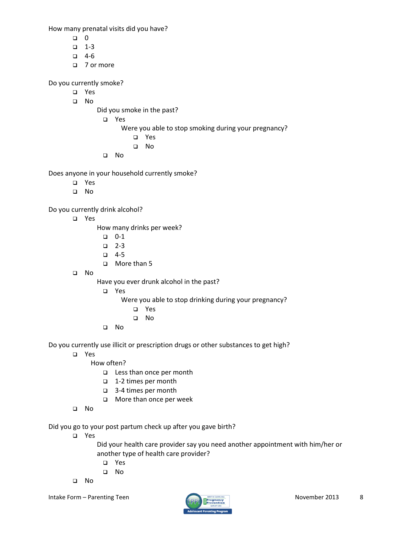How many prenatal visits did you have?

- $\Box$  0
- $-1-3$
- $-4-6$
- □ 7 or more

Do you currently smoke?

- Yes
- No
- Did you smoke in the past?
	- Yes
		- Were you able to stop smoking during your pregnancy?
			- Yes
			- No
	- No

Does anyone in your household currently smoke?

- Yes
- No

Do you currently drink alcohol?

Yes

How many drinks per week?

- $\Box$  0-1
- $\Box$  2-3
- $-4-5$
- More than 5
- No

Have you ever drunk alcohol in the past?

Yes

Were you able to stop drinking during your pregnancy?

- Yes
- No
- No

Do you currently use illicit or prescription drugs or other substances to get high?

- Yes
	- How often?
		- Less than once per month
		- 1-2 times per month
		- 3-4 times per month
		- **D** More than once per week
- No

Did you go to your post partum check up after you gave birth?

Yes

Did your health care provider say you need another appointment with him/her or another type of health care provider?

- Yes
- No
- No

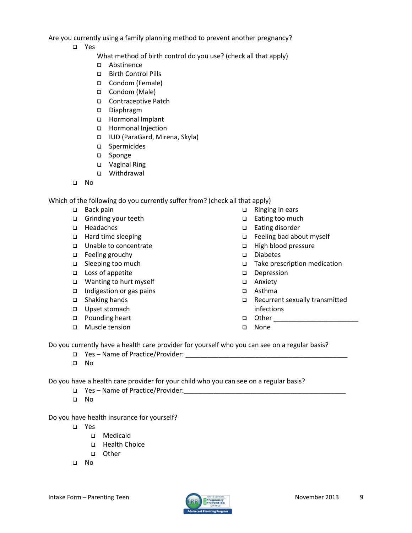Are you currently using a family planning method to prevent another pregnancy?

Yes

What method of birth control do you use? (check all that apply)

- Abstinence
- Birth Control Pills
- Condom (Female)
- □ Condom (Male)
- □ Contraceptive Patch
- Diaphragm
- □ Hormonal Implant
- □ Hormonal Injection
- IUD (ParaGard, Mirena, Skyla)
- □ Spermicides
- □ Sponge
- □ Vaginal Ring
- Withdrawal
- No

Which of the following do you currently suffer from? (check all that apply)

- □ Back pain
- Grinding your teeth
- □ Headaches
- □ Hard time sleeping
- □ Unable to concentrate
- **Example 1** Feeling grouchy
- □ Sleeping too much
- □ Loss of appetite
- Wanting to hurt myself
- $\Box$  Indigestion or gas pains
- □ Shaking hands
- □ Upset stomach
- □ Pounding heart
- Muscle tension
- $\Box$  Ringing in ears
- □ Eating too much
- □ Eating disorder
- Feeling bad about myself
- □ High blood pressure
- Diabetes
- □ Take prescription medication
- Depression
- □ Anxiety
- Asthma
- □ Recurrent sexually transmitted infections
- Other \_\_\_\_\_\_\_\_\_\_\_\_\_\_\_\_\_\_\_\_\_\_\_
- None

Do you currently have a health care provider for yourself who you can see on a regular basis?

- Yes Name of Practice/Provider: \_\_\_\_\_\_\_\_\_\_\_\_\_\_\_\_\_\_\_\_\_\_\_\_\_\_\_\_\_\_\_\_\_\_\_\_\_\_\_\_\_\_\_\_
- No

Do you have a health care provider for your child who you can see on a regular basis?

- $\Box$  Yes Name of Practice/Provider:
- No

Do you have health insurance for yourself?

- Yes
	- Medicaid
	- Health Choice
	- D Other
- No

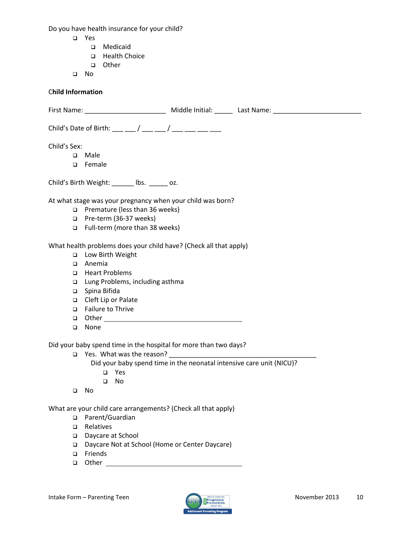Do you have health insurance for your child?

- Yes
	- Medicaid
	- □ Health Choice
	- other
- No

## C**hild Information**

| Child's Sex:                                                         |  |
|----------------------------------------------------------------------|--|
| Male<br>$\Box$                                                       |  |
| Female<br>□                                                          |  |
| Child's Birth Weight: ______ lbs. _____ oz.                          |  |
| At what stage was your pregnancy when your child was born?           |  |
| $\Box$ Premature (less than 36 weeks)                                |  |
| Pre-term (36-37 weeks)<br>□                                          |  |
| Full-term (more than 38 weeks)                                       |  |
| What health problems does your child have? (Check all that apply)    |  |
| Low Birth Weight<br>$\Box$                                           |  |
| Anemia<br>□                                                          |  |
| <b>Heart Problems</b><br>□                                           |  |
| Lung Problems, including asthma<br>□                                 |  |
| Spina Bifida<br>$\Box$                                               |  |
| Cleft Lip or Palate<br>$\Box$                                        |  |
| Failure to Thrive<br>□                                               |  |
| □                                                                    |  |
| None<br>$\Box$                                                       |  |
| Did your baby spend time in the hospital for more than two days?     |  |
|                                                                      |  |
| Did your baby spend time in the neonatal intensive care unit (NICU)? |  |
| □ Yes                                                                |  |
| - No<br>$\Box$                                                       |  |
| - No<br>$\Box$                                                       |  |
| What are your child care arrangements? (Check all that apply)        |  |
| Parent/Guardian<br>$\Box$                                            |  |
| Relatives<br>$\Box$                                                  |  |
| .                                                                    |  |

- Daycare at School
- Daycare Not at School (Home or Center Daycare)
- □ Friends
- Other

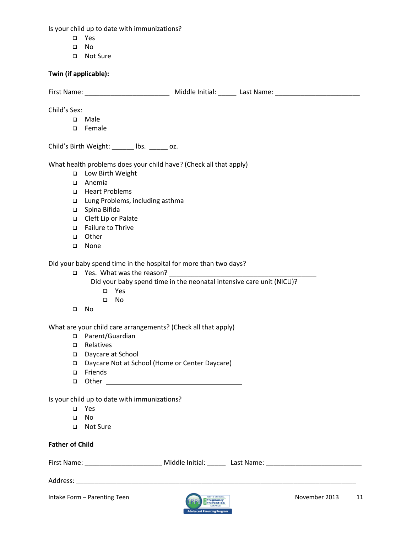Is your child up to date with immunizations?

- Yes
- No
- Not Sure

# **Twin (if applicable):**

|                        | First Name: _____________________________ Middle Initial: ______ Last Name: _______________________                                                                          |
|------------------------|------------------------------------------------------------------------------------------------------------------------------------------------------------------------------|
| Child's Sex:           |                                                                                                                                                                              |
| $\Box$                 | Male                                                                                                                                                                         |
| $\Box$                 | Female                                                                                                                                                                       |
|                        |                                                                                                                                                                              |
|                        | Child's Birth Weight: ______ lbs. _____ oz.                                                                                                                                  |
|                        | What health problems does your child have? (Check all that apply)                                                                                                            |
| $\Box$                 | Low Birth Weight                                                                                                                                                             |
| □                      | Anemia                                                                                                                                                                       |
| □                      | <b>Heart Problems</b>                                                                                                                                                        |
| □                      | Lung Problems, including asthma                                                                                                                                              |
| $\Box$                 | Spina Bifida                                                                                                                                                                 |
|                        | □ Cleft Lip or Palate                                                                                                                                                        |
|                        | Failure to Thrive                                                                                                                                                            |
|                        |                                                                                                                                                                              |
| □                      | None                                                                                                                                                                         |
| $\Box$                 | Did your baby spend time in the hospital for more than two days?<br>Did your baby spend time in the neonatal intensive care unit (NICU)?<br>$\Box$ Yes<br>No<br>$\Box$<br>No |
|                        |                                                                                                                                                                              |
|                        | What are your child care arrangements? (Check all that apply)                                                                                                                |
|                        | □ Parent/Guardian                                                                                                                                                            |
| $\Box$                 | Relatives                                                                                                                                                                    |
| $\Box$                 | Daycare at School                                                                                                                                                            |
| ❏                      | Daycare Not at School (Home or Center Daycare)                                                                                                                               |
| □                      | Friends                                                                                                                                                                      |
| ❏                      |                                                                                                                                                                              |
|                        | Is your child up to date with immunizations?                                                                                                                                 |
| $\Box$                 | Yes                                                                                                                                                                          |
| $\Box$                 | <b>No</b>                                                                                                                                                                    |
| □                      | Not Sure                                                                                                                                                                     |
|                        |                                                                                                                                                                              |
| <b>Father of Child</b> |                                                                                                                                                                              |
|                        | First Name: _____________________________ Middle Initial: _______ Last Name: _________________________________                                                               |
|                        |                                                                                                                                                                              |

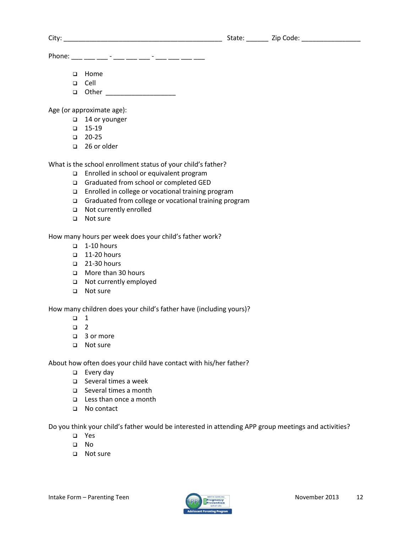| $\sim$<br>City <sup>-</sup> | .<br>ntale. | --<br>ode<br>'ır |
|-----------------------------|-------------|------------------|
|-----------------------------|-------------|------------------|

Phone: \_\_\_ \_\_\_ \_\_\_ - \_\_\_ \_\_\_ \_\_\_ - \_\_\_ \_\_\_ \_\_\_ \_\_\_

- **D** Home
- Cell
- Other \_\_\_\_\_\_\_\_\_\_\_\_\_\_\_\_\_\_\_

Age (or approximate age):

- □ 14 or younger
- $\Box$  15-19
- $\Box$  20-25
- □ 26 or older

What is the school enrollment status of your child's father?

- □ Enrolled in school or equivalent program
- Graduated from school or completed GED
- □ Enrolled in college or vocational training program
- Graduated from college or vocational training program
- Not currently enrolled
- □ Not sure

How many hours per week does your child's father work?

- $\Box$  1-10 hours
- $\Box$  11-20 hours
- $\Box$  21-30 hours
- **ID** More than 30 hours
- Not currently employed
- □ Not sure

How many children does your child's father have (including yours)?

- $\Box$  1
- $\Box$  2
- □ 3 or more
- □ Not sure

About how often does your child have contact with his/her father?

- $\square$  Every day
- Several times a week
- □ Several times a month
- □ Less than once a month
- □ No contact

Do you think your child's father would be interested in attending APP group meetings and activities?

- Yes
- No
- □ Not sure